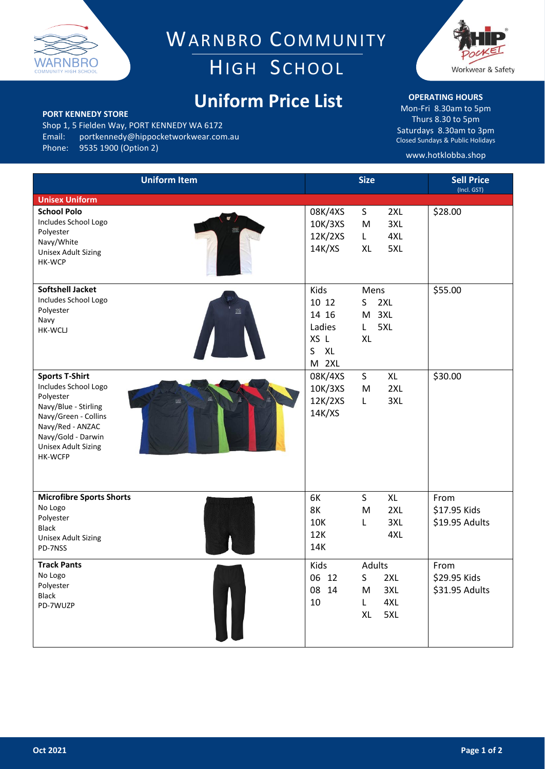

WARNBRO COMMUNITY HIGH SCHOOL

## **Uniform Price List**



Shop 1, 5 Fielden Way, PORT KENNEDY WA 6172 Email: portkennedy@hippocketworkwear.com.au<br>Phone: 9535 1900 (Option 2) 9535 1900 (Option 2)



## **OPERATING HOURS**

Mon-Fri 8.30am to 5pm Thurs 8.30 to 5pm Saturdays 8.30am to 3pm Closed Sundays & Public Holidays

## www.hotklobba.shop

| <b>Uniform Item</b>                                                                                                                                                                                  | <b>Size</b>                                                                                                                      | <b>Sell Price</b><br>(Incl. GST)       |
|------------------------------------------------------------------------------------------------------------------------------------------------------------------------------------------------------|----------------------------------------------------------------------------------------------------------------------------------|----------------------------------------|
| <b>Unisex Uniform</b>                                                                                                                                                                                |                                                                                                                                  |                                        |
| <b>School Polo</b><br>Includes School Logo<br>Polyester<br>Navy/White<br><b>Unisex Adult Sizing</b><br>HK-WCP                                                                                        | 08K/4XS<br>S<br>2XL<br>10K/3XS<br>3XL<br>M<br>12K/2XS<br>4XL<br>L<br>5XL<br>14K/XS<br><b>XL</b>                                  | \$28.00                                |
| <b>Softshell Jacket</b><br>Includes School Logo<br>Polyester<br>ã<br>Navy<br><b>HK-WCLJ</b>                                                                                                          | Kids<br>Mens<br>10 12<br>2XL<br>S<br>14 16<br>3XL<br>M<br>Ladies<br>5XL<br>L.<br>XS L<br><b>XL</b><br>S<br><b>XL</b><br>2XL<br>M | \$55.00                                |
| <b>Sports T-Shirt</b><br>Includes School Logo<br>Polyester<br>Navy/Blue - Stirling<br>Navy/Green - Collins<br>Navy/Red - ANZAC<br>Navy/Gold - Darwin<br><b>Unisex Adult Sizing</b><br><b>HK-WCFP</b> | 08K/4XS<br>S<br>XL<br>10K/3XS<br>2XL<br>M<br>12K/2XS<br>3XL<br>L<br>14K/XS                                                       | \$30.00                                |
| <b>Microfibre Sports Shorts</b><br>No Logo<br>Polyester<br><b>Black</b><br><b>Unisex Adult Sizing</b><br>PD-7NSS                                                                                     | 6K<br>S<br>XL<br><b>8K</b><br>2XL<br>M<br>10K<br>3XL<br>L<br>12K<br>4XL<br>14K                                                   | From<br>\$17.95 Kids<br>\$19.95 Adults |
| <b>Track Pants</b><br>No Logo<br>Polyester<br>Black<br>PD-7WUZP                                                                                                                                      | Adults<br>Kids<br>06 12<br>S<br>2XL<br>08 14<br>3XL<br>M<br>10<br>4XL<br>L<br>XL<br>5XL                                          | From<br>\$29.95 Kids<br>\$31.95 Adults |